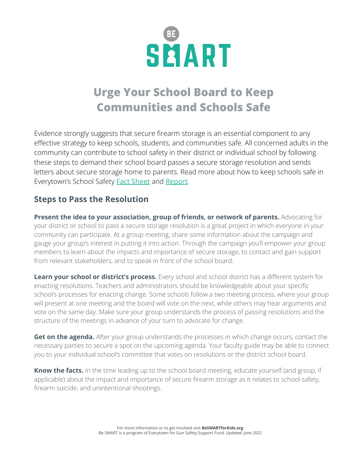

# **Urge Your School Board to Keep Communities and Schools Safe**

Evidence strongly suggests that secure firearm storage is an essential component to any effective strategy to keep schools, students, and communities safe. All concerned adults in the community can contribute to school safety in their district or individual school by following these steps to demand their school board passes a secure storage resolution and sends letters about secure storage home to parents. Read more about how to keep schools safe in Everytown's School Safety [Fact Sheet](https://everytownresearch.org/report/how-can-we-prevent-gun-violence-in-schools/) and [Report](https://everytownresearch.org/reports/keeping-schools-safe-plan-stop-mass-shootings-end-gun-violence-american-schools/).

## **Steps to Pass the Resolution**

**Present the idea to your association, group of friends, or network of parents.** Advocating for your district or school to pass a secure storage resolution is a great project in which everyone in your community can participate. At a group meeting, share some information about the campaign and gauge your group's interest in putting it into action. Through the campaign you'll empower your group members to learn about the impacts and importance of secure storage, to contact and gain support from relevant stakeholders, and to speak in front of the school board.

**Learn your school or district's process.** Every school and school district has a different system for enacting resolutions. Teachers and administrators should be knowledgeable about your specific school's processes for enacting change. Some schools follow a two meeting process, where your group will present at one meeting and the board will vote on the next, while others may hear arguments and vote on the same day. Make sure your group understands the process of passing resolutions and the structure of the meetings in advance of your turn to advocate for change.

**Get on the agenda.** After your group understands the processes in which change occurs, contact the necessary parties to secure a spot on the upcoming agenda. Your faculty guide may be able to connect you to your individual school's committee that votes on resolutions or the district school board.

**Know the facts.** In the time leading up to the school board meeting, educate yourself (and group, if applicable) about the impact and importance of secure firearm storage as it relates to school safety, firearm suicide, and unintentional shootings.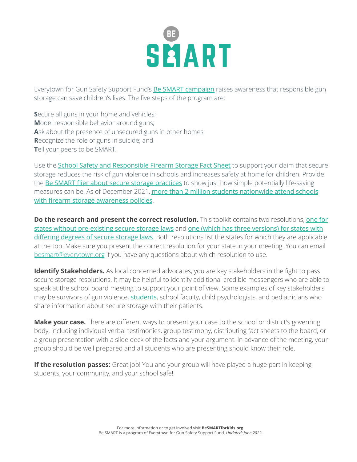# SEART

Everytown for Gun Safety Support Fund's Be SMART [campaign](http://besmartforkids.org) raises awareness that responsible gun storage can save children's lives. The five steps of the program are:

**Secure all guns in your home and vehicles; M**odel responsible behavior around guns; **A**sk about the presence of unsecured guns in other homes; **R**ecognize the role of guns in suicide; and **T**ell your peers to be SMART.

Use the **School Safety and [Responsible](https://everytownforgunsafetysupportfu.box.com/s/wvco407rya26f0yp5f1qv1ucytr9m81l) Firearm Storage Fact Sheet** to support your claim that secure storage reduces the risk of gun violence in schools and increases safety at home for children. Provide the Be SMART flier about secure storage [practices](https://besmartforkids.org/wp-content/uploads/2021/11/Be-SMART-Secure-Storage-Comparison-FINAL.pdf) to show just how simple potentially life-saving measures can be. As of December 2021, more than 2 million students [nationwide](https://www.everytown.org/press/major-milestone-more-than-two-million-students-nationwide-now-attend-schools-with-secure-firearm-storage-awareness-policies/) attend schools with firearm storage [awareness](https://www.everytown.org/press/major-milestone-more-than-two-million-students-nationwide-now-attend-schools-with-secure-firearm-storage-awareness-policies/) policies.

**Do the research and present the correct resolution.** This toolkit contains two resolutions, [one](https://everytownforgunsafetysupportfu.box.com/s/x6mxl71nuz8zht5rcqyh21ktp14drpxb) for states without [pre-existing](https://everytownforgunsafetysupportfu.box.com/s/x6mxl71nuz8zht5rcqyh21ktp14drpxb) secure storage laws and one (which has three [versions\)](https://everytownforgunsafetysupportfu.box.com/s/ftdeqv4nztt8elrp7jug6hqq45k0neiu) for states with [differing](https://everytownforgunsafetysupportfu.box.com/s/ftdeqv4nztt8elrp7jug6hqq45k0neiu) degrees of secure storage laws. Both resolutions list the states for which they are applicable at the top. Make sure you present the correct resolution for your state in your meeting. You can email [besmart@everytown.org](mailto:besmart@everytown.org) if you have any questions about which resolution to use.

**Identify Stakeholders.** As local concerned advocates, you are key stakeholders in the fight to pass secure storage resolutions. It may be helpful to identify additional credible messengers who are able to speak at the school board meeting to support your point of view. Some examples of key stakeholders may be survivors of gun violence, [students](http://studentsdemandaction.org), school faculty, child psychologists, and pediatricians who share information about secure storage with their patients.

**Make your case.** There are different ways to present your case to the school or district's governing body, including individual verbal testimonies, group testimony, distributing fact sheets to the board, or a group presentation with a slide deck of the facts and your argument. In advance of the meeting, your group should be well prepared and all students who are presenting should know their role.

**If the resolution passes:** Great job! You and your group will have played a huge part in keeping students, your community, and your school safe!